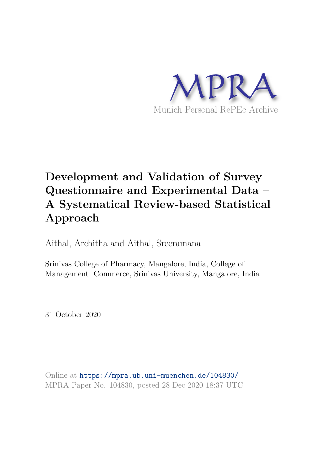

# **Development and Validation of Survey Questionnaire and Experimental Data – A Systematical Review-based Statistical Approach**

Aithal, Architha and Aithal, Sreeramana

Srinivas College of Pharmacy, Mangalore, India, College of Management Commerce, Srinivas University, Mangalore, India

31 October 2020

Online at https://mpra.ub.uni-muenchen.de/104830/ MPRA Paper No. 104830, posted 28 Dec 2020 18:37 UTC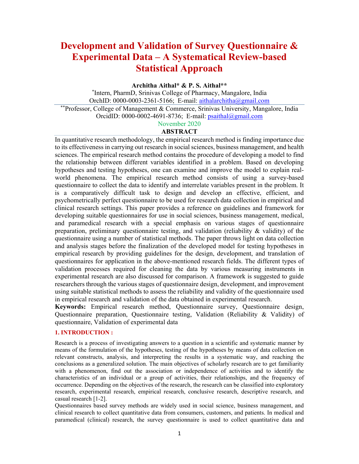# **Development and Validation of Survey Questionnaire & Experimental Data – A Systematical Review-based Statistical Approach**

**Architha Aithal\* & P. S. Aithal\*\*** 

\* Intern, PharmD, Srinivas College of Pharmacy, Mangalore, India OrchID:  $0000-0003-2361-5166$ ; E-mail: aithalarchitha@gmail.com \*\*Professor, College of Management & Commerce, Srinivas University, Mangalore, India OrcidID: 0000-0002-4691-8736; E-mail: psaithal@gmail.com November 2020

# **ABSTRACT**

In quantitative research methodology, the empirical research method is finding importance due to its effectiveness in carrying out research in social sciences, business management, and health sciences. The empirical research method contains the procedure of developing a model to find the relationship between different variables identified in a problem. Based on developing hypotheses and testing hypotheses, one can examine and improve the model to explain realworld phenomena. The empirical research method consists of using a survey-based questionnaire to collect the data to identify and interrelate variables present in the problem. It is a comparatively difficult task to design and develop an effective, efficient, and psychometrically perfect questionnaire to be used for research data collection in empirical and clinical research settings. This paper provides a reference on guidelines and framework for developing suitable questionnaires for use in social sciences, business management, medical, and paramedical research with a special emphasis on various stages of questionnaire preparation, preliminary questionnaire testing, and validation (reliability & validity) of the questionnaire using a number of statistical methods. The paper throws light on data collection and analysis stages before the finalization of the developed model for testing hypotheses in empirical research by providing guidelines for the design, development, and translation of questionnaires for application in the above-mentioned research fields. The different types of validation processes required for cleaning the data by various measuring instruments in experimental research are also discussed for comparison. A framework is suggested to guide researchers through the various stages of questionnaire design, development, and improvement using suitable statistical methods to assess the reliability and validity of the questionnaire used in empirical research and validation of the data obtained in experimental research.

**Keywords:** Empirical research method, Questionnaire survey, Questionnaire design, Questionnaire preparation, Questionnaire testing, Validation (Reliability & Validity) of questionnaire, Validation of experimental data

# **1. INTRODUCTION :**

Research is a process of investigating answers to a question in a scientific and systematic manner by means of the formulation of the hypotheses, testing of the hypotheses by means of data collection on relevant constructs, analysis, and interpreting the results in a systematic way, and reaching the conclusions as a generalized solution. The main objectives of scholarly research are to get familiarity with a phenomenon, find out the association or independence of activities and to identify the characteristics of an individual or a group of activities, their relationships, and the frequency of occurrence. Depending on the objectives of the research, the research can be classified into exploratory research, experimental research, empirical research, conclusive research, descriptive research, and casual research [1-2].

Questionnaires based survey methods are widely used in social science, business management, and clinical research to collect quantitative data from consumers, customers, and patients. In medical and paramedical (clinical) research, the survey questionnaire is used to collect quantitative data and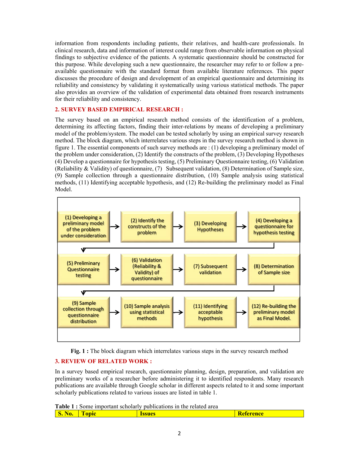information from respondents including patients, their relatives, and health-care professionals. In clinical research, data and information of interest could range from observable information on physical findings to subjective evidence of the patients. A systematic questionnaire should be constructed for this purpose. While developing such a new questionnaire, the researcher may refer to or follow a preavailable questionnaire with the standard format from available literature references. This paper discusses the procedure of design and development of an empirical questionnaire and determining its reliability and consistency by validating it systematically using various statistical methods. The paper also provides an overview of the validation of experimental data obtained from research instruments for their reliability and consistency.

# **2. SURVEY BASED EMPIRICAL RESEARCH :**

The survey based on an empirical research method consists of the identification of a problem, determining its affecting factors, finding their inter-relations by means of developing a preliminary model of the problem/system. The model can be tested scholarly by using an empirical survey research method. The block diagram, which interrelates various steps in the survey research method is shown in figure 1. The essential components of such survey methods are : (1) developing a preliminary model of the problem under consideration, (2) Identify the constructs of the problem, (3) Developing Hypotheses (4) Develop a questionnaire for hypothesis testing, (5) Preliminary Questionnaire testing, (6) Validation (Reliability & Validity) of questionnaire, (7) Subsequent validation, (8) Determination of Sample size, (9) Sample collection through a questionnaire distribution, (10) Sample analysis using statistical methods, (11) Identifying acceptable hypothesis, and (12) Re-building the preliminary model as Final Model.



**Fig. 1 :** The block diagram which interrelates various steps in the survey research method

# **3. REVIEW OF RELATED WORK :**

In a survey based empirical research, questionnaire planning, design, preparation, and validation are preliminary works of a researcher before administering it to identified respondents. Many research publications are available through Google scholar in different aspects related to it and some important scholarly publications related to various issues are listed in table 1.

**Table 1 :** Some important scholarly publications in the related area

| w.<br>,, |  |  | Reich |
|----------|--|--|-------|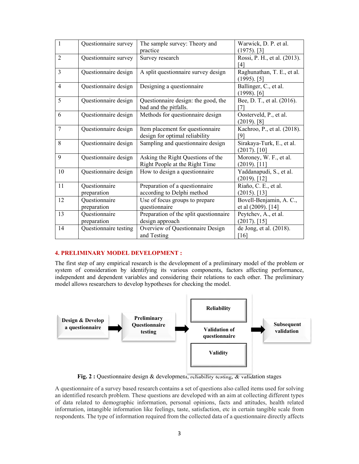| $\mathbf{1}$   | Questionnaire survey  | The sample survey: Theory and          | Warwick, D. P. et al.        |
|----------------|-----------------------|----------------------------------------|------------------------------|
|                |                       | practice                               | $(1975)$ . [3]               |
| $\overline{2}$ | Questionnaire survey  | Survey research                        | Rossi, P. H., et al. (2013). |
|                |                       |                                        | [4]                          |
| $\overline{3}$ | Questionnaire design  | A split questionnaire survey design    | Raghunathan, T. E., et al.   |
|                |                       |                                        | $(1995)$ . [5]               |
| $\overline{4}$ | Questionnaire design  | Designing a questionnaire              | Ballinger, C., et al.        |
|                |                       |                                        | $(1998)$ . [6]               |
| 5              | Questionnaire design  | Questionnaire design: the good, the    | Bee, D. T., et al. (2016).   |
|                |                       | bad and the pitfalls.                  | [7]                          |
| 6              | Questionnaire design  | Methods for questionnaire design       | Oosterveld, P., et al.       |
|                |                       |                                        | $(2019)$ . [8]               |
| $\tau$         | Questionnaire design  | Item placement for questionnaire       | Kachroo, P., et al. (2018).  |
|                |                       | design for optimal reliability         | [9]                          |
| 8              | Questionnaire design  | Sampling and questionnaire design      | Sirakaya-Turk, E., et al.    |
|                |                       |                                        | $(2017)$ . [10]              |
| 9              | Questionnaire design  | Asking the Right Questions of the      | Moroney, W. F., et al.       |
|                |                       | Right People at the Right Time         | $(2019)$ . [11]              |
| 10             | Questionnaire design  | How to design a questionnaire          | Yaddanapudi, S., et al.      |
|                |                       |                                        | $(2019)$ . [12]              |
| 11             | Questionnaire         | Preparation of a questionnaire         | Riaño, C. E., et al.         |
|                | preparation           | according to Delphi method             | $(2015)$ . [13]              |
| 12             | Questionnaire         | Use of focus groups to prepare         | Bovell-Benjamin, A. C.,      |
|                | preparation           | questionnaire                          | et al (2009). [14]           |
| 13             | Questionnaire         | Preparation of the split questionnaire | Peytchev, A., et al.         |
|                | preparation           | design approach                        | $(2017)$ . [15]              |
| 14             | Questionnaire testing | Overview of Questionnaire Design       | de Jong, et al. (2018).      |
|                |                       | and Testing                            | $[16]$                       |

#### **4. PRELIMINARY MODEL DEVELOPMENT :**

The first step of any empirical research is the development of a preliminary model of the problem or system of consideration by identifying its various components, factors affecting performance, independent and dependent variables and considering their relations to each other. The preliminary model allows researchers to develop hypotheses for checking the model.



**Fig. 2 :** Questionnaire design & development, reliability testing, & validation stages

A questionnaire of a survey based research contains a set of questions also called items used for solving an identified research problem. These questions are developed with an aim at collecting different types of data related to demographic information, personal opinions, facts and attitudes, health related information, intangible information like feelings, taste, satisfaction, etc in certain tangible scale from respondents. The type of information required from the collected data of a questionnaire directly affects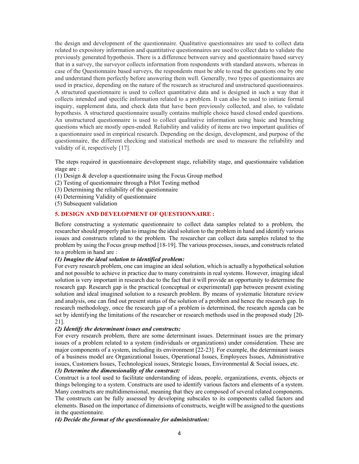the design and development of the questionnaire. Qualitative questionnaires are used to collect data related to expository information and quantitative questionnaires are used to collect data to validate the previously generated hypothesis. There is a difference between survey and questionnaire based survey that in a survey, the surveyor collects information from respondents with standard answers, whereas in case of the Questionnaire based surveys, the respondents must be able to read the questions one by one and understand them perfectly before answering them well. Generally, two types of questionnaires are used in practice, depending on the nature of the research as structured and unstructured questionnaires. A structured questionnaire is used to collect quantitative data and is designed in such a way that it collects intended and specific information related to a problem. It can also be used to initiate formal inquiry, supplement data, and check data that have been previously collected, and also, to validate hypothesis. A structured questionnaire usually contains multiple choice based closed ended questions. An unstructured questionnaire is used to collect qualitative information using basic and branching questions which are mostly open-ended. Reliability and validity of items are two important qualities of a questionnaire used in empirical research. Depending on the design, development, and purpose of the questionnaire, the different checking and statistical methods are used to measure the reliability and validity of it, respectively [17].

The steps required in questionnaire development stage, reliability stage, and questionnaire validation stage are :

- (1) Design & develop a questionnaire using the Focus Group method
- (2) Testing of questionnaire through a Pilot Testing method
- (3) Determining the reliability of the questionnaire
- (4) Determining Validity of questionnaire
- (5) Subsequent validation

# **5. DESIGN AND DEVELOPMENT OF QUESTIONNAIRE :**

Before constructing a systematic questionnaire to collect data samples related to a problem, the researcher should properly plan to imagine the ideal solution to the problem in hand and identify various issues and constructs related to the problem. The researcher can collect data samples related to the problem by using the Focus group method [18-19]. The various processes, issues, and constructs related to a problem in hand are :

# *(1) Imagine the ideal solution to identified problem:*

For every research problem, one can imagine an ideal solution, which is actually a hypothetical solution and not possible to achieve in practice due to many constraints in real systems. However, imaging ideal solution is very important in research due to the fact that it will provide an opportunity to determine the research gap. Research gap is the practical (conceptual or experimental) gap between present existing solution and ideal imagined solution to a research problem. By means of systematic literature review and analysis, one can find out present status of the solution of a problem and hence the research gap. In research methodology, once the research gap of a problem is determined, the research agenda can be set by identifying the limitations of the researcher or research methods used in the proposed study [20-21].

#### *(2) Identify the determinant issues and constructs:*

For every research problem, there are some determinant issues. Determinant issues are the primary issues of a problem related to a system (individuals or organizations) under consideration. These are major components of a system, including its environment [22-23]. For example, the determinant issues of a business model are Organizational Issues, Operational Issues, Employees Issues, Administrative issues, Customers Issues, Technological issues, Strategic Issues, Environmental & Social issues, etc.

## *(3) Determine the dimensionality of the construct:*

Construct is a tool used to facilitate understanding of ideas, people, organizations, events, objects or things belonging to a system. Constructs are used to identify various factors and elements of a system. Many constructs are multidimensional, meaning that they are composed of several related components. The constructs can be fully assessed by developing subscales to its components called factors and elements. Based on the importance of dimensions of constructs, weight will be assigned to the questions in the questionnaire.

# *(4) Decide the format of the questionnaire for administration:*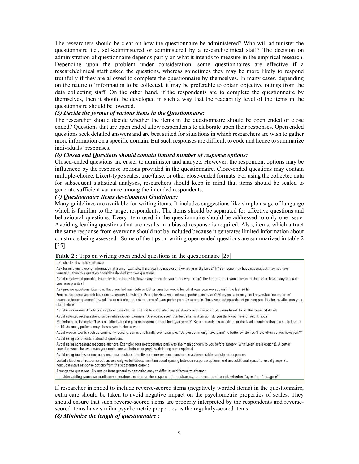The researchers should be clear on how the questionnaire be administered? Who will administer the questionnaire i.e., self-administered or administered by a research/clinical staff? The decision on administration of questionnaire depends partly on what it intends to measure in the empirical research. Depending upon the problem under consideration, some questionnaires are effective if a research/clinical staff asked the questions, whereas sometimes they may be more likely to respond truthfully if they are allowed to complete the questionnaire by themselves. In many cases, depending on the nature of information to be collected, it may be preferable to obtain objective ratings from the data collecting staff. On the other hand, if the respondents are to complete the questionnaire by themselves, then it should be developed in such a way that the readability level of the items in the questionnaire should be lowered.

#### *(5) Decide the format of various items in the Questionnaire:*

The researcher should decide whether the items in the questionnaire should be open ended or close ended? Questions that are open ended allow respondents to elaborate upon their responses. Open ended questions seek detailed answers and are best suited for situations in which researchers are wish to gather more information on a specific domain. But such responses are difficult to code and hence to summarize individuals' responses.

#### *(6) Closed end Questions should contain limited number of response options:*

Closed-ended questions are easier to administer and analyze. However, the respondent options may be influenced by the response options provided in the questionnaire. Close-ended questions may contain multiple-choice, Likert-type scales, true/false, or other close-ended formats. For using the collected data for subsequent statistical analyses, researchers should keep in mind that items should be scaled to generate sufficient variance among the intended respondents.

#### *(7) Questionnaire Items development Guidelines:*

Many guidelines are available for writing items. It includes suggestions like simple usage of language which is familiar to the target respondents. The items should be separated for affective questions and behavioural questions. Every item used in the questionnaire should be addressed to only one issue. Avoiding leading questions that are results in a biased response is required. Also, items, which attract the same response from everyone should not be included because it generates limited information about constructs being assessed. Some of the tips on writing open ended questions are summarized in table 2 [25].

#### **Table 2 :** Tips on writing open ended questions in the questionnaire [25]

#### Use short and simple sentences

Ask for only one piece of information at a time. Example: Have you had nausea and vomiting in the last 24 h? Someone may have nausea, but may not have vomiting, thus this question should be divided into two questions

Avoid negatives if possible. Example: In the last 24 h, how many times did you not have pruritus? The better format would be; in the last 24 h, how many times did vou have pruritus?

Ask precise questions. Example: Have you had pain before? Better question would be; what was your worst pain in the last 24 h?

Ensure that those you ask have the necessary knowledge. Example: Have you had neuropathic pain before? Many patients may not know what "neuropathic" means, a better question(s) would be to ask about the symptoms of neuropathic pain, for example, "have you had episodes of piercing pain like hot needles into your skin, before'

Avoid unnecessary details, as people are usually less inclined to complete long questionnaires, however make sure to ask for all the essential details

Avoid asking direct questions on sensitive issues. Example: "Are you obese?" can be better written as " do you think you have a weight issue"

Minimize bias. Example: "I was satisfied with the pain management that I had (yes or no)?" Better question is to ask about the level of satisfaction in a scale from 0 to 10. As many patients may choose yes to please you

Avoid weasel words such as commonly, usually, some, and hardly ever. Example: "Do you commonly have pain?" is better written as "How often do you have pain?" Avoid using statements instead of questions

Avoid using agreement response anchors. Example: Your postoperative pain was the main concern to you before surgery (with Likert scale options). A better question would be what was your main concern before surgery? (with listing some options)

Avoid using too few or too many response anchors. Use five or more response anchors to achieve stable participant responses

Verbally label each response option, use only verbal labels, maintain equal spacing between response options, and use additional space to visually separate nonsubstantive response options from the substantive options

Arrange the questions. Always go from general to particular, easy to difficult, and factual to abstract

Consider adding some contradictory questions, to detect the responders' consistency, as some tend to tick whether "agree" or "disagree"

If researcher intended to include reverse-scored items (negatively worded items) in the questionnaire, extra care should be taken to avoid negative impact on the psychometric properties of scales. They should ensure that such reverse-scored items are properly interpreted by the respondents and reversescored items have similar psychometric properties as the regularly-scored items.

*(8) Minimize the length of questionnaire :*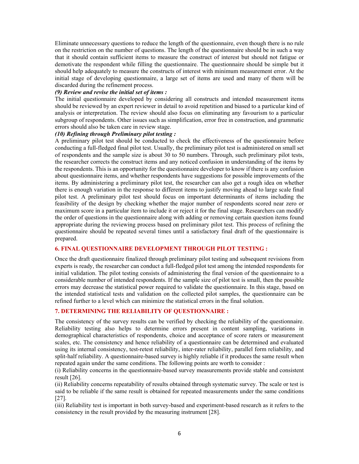Eliminate unnecessary questions to reduce the length of the questionnaire, even though there is no rule on the restriction on the number of questions. The length of the questionnaire should be in such a way that it should contain sufficient items to measure the construct of interest but should not fatigue or demotivate the respondent while filling the questionnaire. The questionnaire should be simple but it should help adequately to measure the constructs of interest with minimum measurement error. At the initial stage of developing questionnaire, a large set of items are used and many of them will be discarded during the refinement process.

#### *(9) Review and revise the initial set of items :*

The initial questionnaire developed by considering all constructs and intended measurement items should be reviewed by an expert reviewer in detail to avoid repetition and biased to a particular kind of analysis or interpretation. The review should also focus on eliminating any favourism to a particular subgroup of respondents. Other issues such as simplification, error free in construction, and grammatic errors should also be taken care in review stage.

#### *(10) Refining through Preliminary pilot testing :*

A preliminary pilot test should be conducted to check the effectiveness of the questionnaire before conducting a full-fledged final pilot test. Usually, the preliminary pilot test is administered on small set of respondents and the sample size is about 30 to 50 numbers. Through, such preliminary pilot tests, the researcher corrects the construct items and any noticed confusion in understanding of the items by the respondents. This is an opportunity for the questionnaire developer to know if there is any confusion about questionnaire items, and whether respondents have suggestions for possible improvements of the items. By administering a preliminary pilot test, the researcher can also get a rough idea on whether there is enough variation in the response to different items to justify moving ahead to large scale final pilot test. A preliminary pilot test should focus on important determinants of items including the feasibility of the design by checking whether the major number of respondents scored near zero or maximum score in a particular item to include it or reject it for the final stage. Researchers can modify the order of questions in the questionnaire along with adding or removing certain question items found appropriate during the reviewing process based on preliminary pilot test. This process of refining the questionnaire should be repeated several times until a satisfactory final draft of the questionnaire is prepared.

#### **6. FINAL QUESTIONNAIRE DEVELOPMENT THROUGH PILOT TESTING :**

Once the draft questionnaire finalized through preliminary pilot testing and subsequent revisions from experts is ready, the researcher can conduct a full-fledged pilot test among the intended respondents for initial validation. The pilot testing consists of administering the final version of the questionnaire to a considerable number of intended respondents. If the sample size of pilot test is small, then the possible errors may decrease the statistical power required to validate the questionnaire. In this stage, based on the intended statistical tests and validation on the collected pilot samples, the questionnaire can be refined further to a level which can minimize the statistical errors in the final solution.

#### **7. DETERMINING THE RELIABILITY OF QUESTIONNAIRE :**

The consistency of the survey results can be verified by checking the reliability of the questionnaire. Reliability testing also helps to determine errors present in content sampling, variations in demographical characteristics of respondents, choice and acceptance of score raters or measurement scales, etc. The consistency and hence reliability of a questionnaire can be determined and evaluated using its internal consistency, test-retest reliability, inter-rater reliability, parallel form reliability, and split-half reliability. A questionnaire-based survey is highly reliable if it produces the same result when repeated again under the same conditions. The following points are worth to consider :

(i) Reliability concerns in the questionnaire-based survey measurements provide stable and consistent result [26].

(ii) Reliability concerns repeatability of results obtained through systematic survey. The scale or test is said to be reliable if the same result is obtained for repeated measurements under the same conditions [27].

(iii) Reliability test is important in both survey-based and experiment-based research as it refers to the consistency in the result provided by the measuring instrument [28].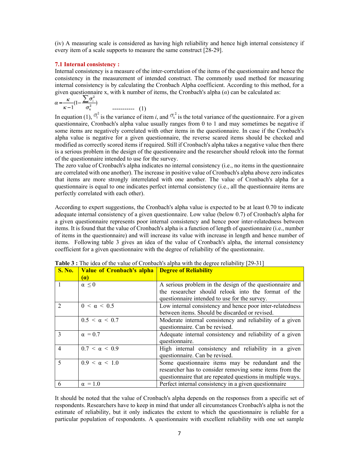(iv) A measuring scale is considered as having high reliability and hence high internal consistency if every item of a scale supports to measure the same construct [28-29].

#### **7.1 Internal consistency :**

Internal consistency is a measure of the inter-correlation of the items of the questionnaire and hence the consistency in the measurement of intended construct. The commonly used method for measuring internal consistency is by calculating the Cronbach Alpha coefficient. According to this method, for a given questionnaire x, with k number of items, the Cronbach's alpha (*α*) can be calculated as:

$$
\alpha = \frac{\kappa}{\kappa - 1} \left( 1 - \frac{\sum \sigma_i^2}{\sigma_x^2} \right) \qquad \qquad \dots \qquad (1)
$$

In equation (1),  $\sigma_i^2$  is the variance of item *i*, and  $\sigma_x^2$  is the total variance of the questionnaire. For a given questionnaire, Cronbach's alpha value usually ranges from 0 to 1 and may sometimes be negative if some items are negatively correlated with other items in the questionnaire. In case if the Cronbach's alpha value is negative for a given questionnaire, the reverse scared items should be checked and modified as correctly scored items if required. Still if Cronbach's alpha takes a negative value then there is a serious problem in the design of the questionnaire and the researcher should relook into the format of the questionnaire intended to use for the survey.

The zero value of Cronbach's alpha indicates no internal consistency (i.e., no items in the questionnaire are correlated with one another). The increase in positive value of Cronbach's alpha above zero indicates that items are more strongly interrelated with one another. The value of Cronbach's alpha for a questionnaire is equal to one indicates perfect internal consistency (i.e., all the questionnaire items are perfectly correlated with each other).

According to expert suggestions, the Cronbach's alpha value is expected to be at least 0.70 to indicate adequate internal consistency of a given questionnaire. Low value (below 0.7) of Cronbach's alpha for a given questionnaire represents poor internal consistency and hence poor inter-relatedness between items. It is found that the value of Cronbach's alpha is a function of length of questionnaire (i.e., number of items in the questionnaire) and will increase its value with increase in length and hence number of items. Following table 3 gives an idea of the value of Cronbach's alpha, the internal consistency coefficient for a given questionnaire with the degree of reliability of the questionnaire.

| <b>S. No.</b> | <b>Value of Cronbach's alpha Degree of Reliability</b> |                                                             |
|---------------|--------------------------------------------------------|-------------------------------------------------------------|
|               | <b>(a)</b>                                             |                                                             |
| $\mathbf{1}$  | $\alpha \leq 0$                                        | A serious problem in the design of the questionnaire and    |
|               |                                                        | the researcher should relook into the format of the         |
|               |                                                        | questionnaire intended to use for the survey.               |
| $\mathcal{D}$ | $0 < \alpha < 0.5$                                     | Low internal consistency and hence poor inter-relatedness   |
|               |                                                        | between items. Should be discarded or revised.              |
|               | $0.5 < \alpha < 0.7$                                   | Moderate internal consistency and reliability of a given    |
|               |                                                        | questionnaire. Can be revised.                              |
| 3             | $\alpha = 0.7$                                         | Adequate internal consistency and reliability of a given    |
|               |                                                        | questionnaire.                                              |
| 4             | $0.7 < \alpha < 0.9$                                   | High internal consistency and reliability in a given        |
|               |                                                        | questionnaire. Can be revised.                              |
| $\varsigma$   | $0.9 < \alpha < 1.0$                                   | Some questionnaire items may be redundant and the           |
|               |                                                        | researcher has to consider removing some items from the     |
|               |                                                        | questionnaire that are repeated questions in multiple ways. |
| 6             | $\alpha = 1.0$                                         | Perfect internal consistency in a given questionnaire       |

**Table 3 :** The idea of the value of Cronbach's alpha with the degree reliability [29-31]

It should be noted that the value of Cronbach's alpha depends on the responses from a specific set of respondents. Researchers have to keep in mind that under all circumstances Cronbach's alpha is not the estimate of reliability, but it only indicates the extent to which the questionnaire is reliable for a particular population of respondents. A questionnaire with excellent reliability with one set sample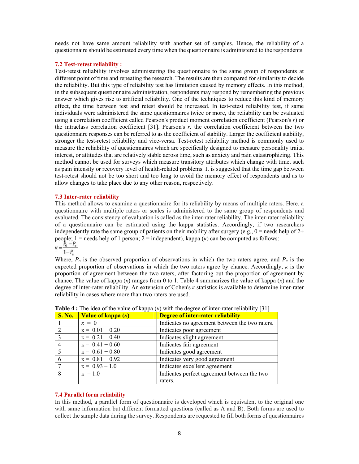needs not have same amount reliability with another set of samples. Hence, the reliability of a questionnaire should be estimated every time when the questionnaire is administered to the respondents.

#### **7.2 Test-retest reliability :**

Test-retest reliability involves administering the questionnaire to the same group of respondents at different point of time and repeating the research. The results are then compared for similarity to decide the reliability. But this type of reliability test has limitation caused by memory effects. In this method, in the subsequent questionnaire administration, respondents may respond by remembering the previous answer which gives rise to artificial reliability. One of the techniques to reduce this kind of memory effect, the time between test and retest should be increased. In test-retest reliability test, if same individuals were administered the same questionnaires twice or more, the reliability can be evaluated using a correlation coefficient called Pearson's product moment correlation coefficient (Pearson's *r*) or the intraclass correlation coefficient [31]. Pearson's *r,* the correlation coefficient between the two questionnaire responses can be referred to as the coefficient of stability. Larger the coefficient stability, stronger the test-retest reliability and vice-versa. Test-retest reliability method is commonly used to measure the reliability of questionnaires which are specifically designed to measure personality traits, interest, or attitudes that are relatively stable across time, such as anxiety and pain catastrophizing. This method cannot be used for surveys which measure transitory attributes which change with time, such as pain intensity or recovery level of health-related problems. It is suggested that the time gap between test-retest should not be too short and too long to avoid the memory effect of respondents and as to allow changes to take place due to any other reason, respectively.

#### **7.3 Inter-rater reliability**

This method allows to examine a questionnaire for its reliability by means of multiple raters. Here, a questionnaire with multiple raters or scales is administered to the same group of respondents and evaluated. The consistency of evaluation is called as the inter-rater reliability. The inter-rater reliability of a questionnaire can be estimated using the kappa statistics. Accordingly, if two researchers independently rate the same group of patients on their mobility after surgery (e.g.,  $0 =$  needs help of  $2+$ people; 1 = needs help of 1 person; 2 = independent), kappa (*k*) can be computed as follows:<br> $\kappa = \frac{P_0 - P_e}{1 - P_e}$ 

Where,  $P_o$  is the observed proportion of observations in which the two raters agree, and  $P_e$  is the expected proportion of observations in which the two raters agree by chance. Accordingly,  $\kappa$  is the proportion of agreement between the two raters, after factoring out the proportion of agreement by chance. The value of kappa (*к*) ranges from 0 to 1. Table 4 summarizes the value of kappa (*к*) and the degree of inter-rater reliability. An extension of Cohen's *к* statistics is available to determine inter-rater reliability in cases where more than two raters are used.

| <b>S. No.</b> | <b>Value of kappa</b> $(\kappa)$ | <b>Degree of inter-rater reliability</b>       |
|---------------|----------------------------------|------------------------------------------------|
|               | $\kappa = 0$                     | Indicates no agreement between the two raters. |
|               | $K = 0.01 - 0.20$                | Indicates poor agreement                       |
| $\mathbf{3}$  | $K = 0.21 - 0.40$                | Indicates slight agreement                     |
|               | $K = 0.41 - 0.60$                | Indicates fair agreement                       |
|               | $k = 0.61 - 0.80$                | Indicates good agreement                       |
|               | $K = 0.81 - 0.92$                | Indicates very good agreement                  |
|               | $K = 0.93 - 1.0$                 | Indicates excellent agreement                  |
| $\mathsf{\ }$ | $K = 1.0$                        | Indicates perfect agreement between the two    |
|               |                                  | raters.                                        |

**Table 4 :** The idea of the value of kappa  $(k)$  with the degree of inter-rater reliability [31]

#### **7.4 Parallel form reliability**

In this method, a parallel form of questionnaire is developed which is equivalent to the original one with same information but different formatted questions (called as A and B). Both forms are used to collect the sample data during the survey. Respondents are requested to fill both forms of questionnaires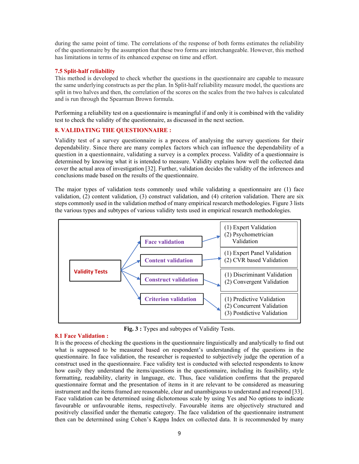during the same point of time. The correlations of the response of both forms estimates the reliability of the questionnaire by the assumption that these two forms are interchangeable. However, this method has limitations in terms of its enhanced expense on time and effort.

### **7.5 Split-half reliability**

This method is developed to check whether the questions in the questionnaire are capable to measure the same underlying constructs as per the plan. In Split-half reliability measure model, the questions are split in two halves and then, the correlation of the scores on the scales from the two halves is calculated and is run through the Spearman Brown formula.

Performing a reliability test on a questionnaire is meaningful if and only it is combined with the validity test to check the validity of the questionnaire, as discussed in the next section.

### **8. VALIDATING THE QUESTIONNAIRE :**

Validity test of a survey questionnaire is a process of analysing the survey questions for their dependability. Since there are many complex factors which can influence the dependability of a question in a questionnaire, validating a survey is a complex process. Validity of a questionnaire is determined by knowing what it is intended to measure. Validity explains how well the collected data cover the actual area of investigation [32]. Further, validation decides the validity of the inferences and conclusions made based on the results of the questionnaire.

The major types of validation tests commonly used while validating a questionnaire are (1) face validation, (2) content validation, (3) construct validation, and (4) criterion validation. There are six steps commonly used in the validation method of many empirical research methodologies. Figure 3 lists the various types and subtypes of various validity tests used in empirical research methodologies.



**Fig. 3 :** Types and subtypes of Validity Tests.

#### **8.1 Face Validation :**

It is the process of checking the questions in the questionnaire linguistically and analytically to find out what is supposed to be measured based on respondent's understanding of the questions in the questionnaire. In face validation, the researcher is requested to subjectively judge the operation of a construct used in the questionnaire. Face validity test is conducted with selected respondents to know how easily they understand the items/questions in the questionnaire, including its feasibility, style formatting, readability, clarity in language, etc. Thus, face validation confirms that the prepared questionnaire format and the presentation of items in it are relevant to be considered as measuring instrument and the items framed are reasonable, clear and unambiguous to understand and respond [33]. Face validation can be determined using dichotomous scale by using Yes and No options to indicate favourable or unfavourable items, respectively. Favourable items are objectively structured and positively classified under the thematic category. The face validation of the questionnaire instrument then can be determined using Cohen's Kappa Index on collected data. It is recommended by many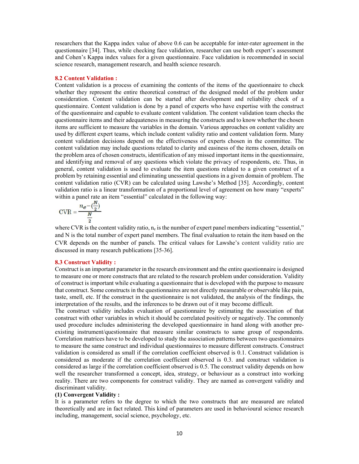researchers that the Kappa index value of above 0.6 can be acceptable for inter-rater agreement in the questionnaire [34]. Thus, while checking face validation, researcher can use both expert's assessment and Cohen's Kappa index values for a given questionnaire. Face validation is recommended in social science research, management research, and health science research.

#### **8.2 Content Validation :**

Content validation is a process of examining the contents of the items of the questionnaire to check whether they represent the entire theoretical construct of the designed model of the problem under consideration. Content validation can be started after development and reliability check of a questionnaire. Content validation is done by a panel of experts who have expertise with the construct of the questionnaire and capable to evaluate content validation. The content validation team checks the questionnaire items and their adequateness in measuring the constructs and to know whether the chosen items are sufficient to measure the variables in the domain. Various approaches on content validity are used by different expert teams, which include content validity ratio and content validation form. Many content validation decisions depend on the effectiveness of experts chosen in the committee. The content validation may include questions related to clarity and easiness of the items chosen, details on the problem area of chosen constructs, identification of any missed important items in the questionnaire, and identifying and removal of any questions which violate the privacy of respondents, etc. Thus, in general, content validation is used to evaluate the item questions related to a given construct of a problem by retaining essential and eliminating unessential questions in a given domain of problem. The content validation ratio (CVR) can be calculated using Lawshe's Method [35]. Accordingly, content validation ratio is a linear transformation of a proportional level of agreement on how many "experts" within a panel rate an item "essential" calculated in the following way:

$$
CVR = \frac{n_e - \left(\frac{N}{2}\right)}{\frac{N}{2}}
$$

where CVR is the content validity ratio,  $n_c$  is the number of expert panel members indicating "essential," and N is the total number of expert panel members. The final evaluation to retain the item based on the CVR depends on the number of panels. The critical values for Lawshe's content validity ratio are discussed in many research publications [35-36].

#### **8.3 Construct Validity :**

Construct is an important parameter in the research environment and the entire questionnaire is designed to measure one or more constructs that are related to the research problem under consideration. Validity of construct is important while evaluating a questionnaire that is developed with the purpose to measure that construct. Some constructs in the questionnaires are not directly measurable or observable like pain, taste, smell, etc. If the construct in the questionnaire is not validated, the analysis of the findings, the interpretation of the results, and the inferences to be drawn out of it may become difficult.

The construct validity includes evaluation of questionnaire by estimating the association of that construct with other variables in which it should be correlated positively or negatively. The commonly used procedure includes administering the developed questionnaire in hand along with another preexisting instrument/questionnaire that measure similar constructs to same group of respondents. Correlation matrices have to be developed to study the association patterns between two questionnaires to measure the same construct and individual questionnaires to measure different constructs. Construct validation is considered as small if the correlation coefficient observed is 0.1. Construct validation is considered as moderate if the correlation coefficient observed is 0.3. and construct validation is considered as large if the correlation coefficient observed is 0.5. The construct validity depends on how well the researcher transformed a concept, idea, strategy, or behaviour as a construct into working reality. There are two components for construct validity. They are named as convergent validity and discriminant validity.

# **(1) Convergent Validity :**

It is a parameter refers to the degree to which the two constructs that are measured are related theoretically and are in fact related. This kind of parameters are used in behavioural science research including, management, social science, psychology, etc.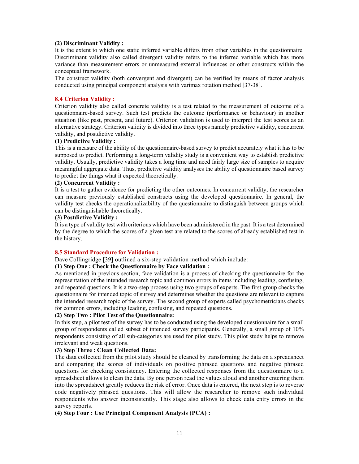#### **(2) Discriminant Validity :**

It is the extent to which one static inferred variable differs from other variables in the questionnaire. Discriminant validity also called divergent validity refers to the inferred variable which has more variance than measurement errors or unmeasured external influences or other constructs within the conceptual framework.

The construct validity (both convergent and divergent) can be verified by means of factor analysis conducted using principal component analysis with varimax rotation method [37-38].

#### **8.4 Criterion Validity :**

Criterion validity also called concrete validity is a test related to the measurement of outcome of a questionnaire-based survey. Such test predicts the outcome (performance or behaviour) in another situation (like past, present, and future). Criterion validation is used to interpret the test scores as an alternative strategy. Criterion validity is divided into three types namely predictive validity, concurrent validity, and postdictive validity.

#### **(1) Predictive Validity :**

This is a measure of the ability of the questionnaire-based survey to predict accurately what it has to be supposed to predict. Performing a long-term validity study is a convenient way to establish predictive validity. Usually, predictive validity takes a long time and need fairly large size of samples to acquire meaningful aggregate data. Thus, predictive validity analyses the ability of questionnaire based survey to predict the things what it expected theoretically.

# **(2) Concurrent Validity :**

It is a test to gather evidence for predicting the other outcomes. In concurrent validity, the researcher can measure previously established constructs using the developed questionnaire. In general, the validity test checks the operationalizability of the questionnaire to distinguish between groups which can be distinguishable theoretically.

# **(3) Postdictive Validity :**

It is a type of validity test with criterions which have been administered in the past. It is a test determined by the degree to which the scores of a given test are related to the scores of already established test in the history.

# **8.5 Standard Procedure for Validation :**

Dave Collingridge [39] outlined a six-step validation method which include:

# **(1) Step One : Check the Questionnaire by Face validation :**

As mentioned in previous section, face validation is a process of checking the questionnaire for the representation of the intended research topic and common errors in items including leading, confusing, and repeated questions. It is a two-step process using two groups of experts. The first group checks the questionnaire for intended topic of survey and determines whether the questions are relevant to capture the intended research topic of the survey. The second group of experts called psychometricians checks for common errors, including leading, confusing, and repeated questions.

#### **(2) Step Two : Pilot Test of the Questionnaire:**

In this step, a pilot test of the survey has to be conducted using the developed questionnaire for a small group of respondents called subset of intended survey participants. Generally, a small group of 10% respondents consisting of all sub-categories are used for pilot study. This pilot study helps to remove irrelevant and weak questions.

# **(3) Step Three : Clean Collected Data:**

The data collected from the pilot study should be cleaned by transforming the data on a spreadsheet and comparing the scores of individuals on positive phrased questions and negative phrased questions for checking consistency. Entering the collected responses from the questionnaire to a spreadsheet allows to clean the data. By one person read the values aloud and another entering them into the spreadsheet greatly reduces the risk of error. Once data is entered, the next step is to reverse code negatively phrased questions. This will allow the researcher to remove such individual respondents who answer inconsistently. This stage also allows to check data entry errors in the survey reports.

# **(4) Step Four : Use Principal Component Analysis (PCA) :**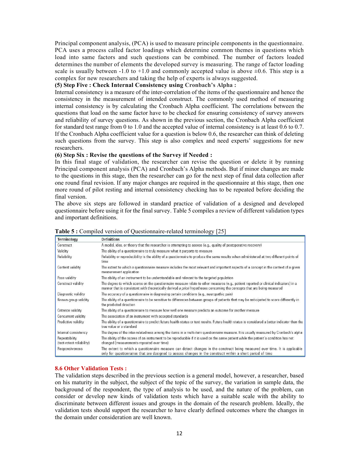Principal component analysis, (PCA) is used to measure principle components in the questionnaire. PCA uses a process called factor loadings which determine common themes in questions which load into same factors and such questions can be combined. The number of factors loaded determines the number of elements the developed survey is measuring. The range of factor loading scale is usually between  $-1.0$  to  $+1.0$  and commonly accepted value is above  $\pm 0.6$ . This step is a complex for new researchers and taking the help of experts is always suggested.

# **(5) Step Five : Check Internal Consistency using Cronbach's Alpha :**

Internal consistency is a measure of the inter-correlation of the items of the questionnaire and hence the consistency in the measurement of intended construct. The commonly used method of measuring internal consistency is by calculating the Cronbach Alpha coefficient. The correlations between the questions that load on the same factor have to be checked for ensuring consistency of survey answers and reliability of survey questions. As shown in the previous section, the Cronbach Alpha coefficient for standard test range from 0 to 1.0 and the accepted value of internal consistency is at least 0.6 to 0.7. If the Cronbach Alpha coefficient value for a question is below 0.6, the researcher can think of deleting such questions from the survey. This step is also complex and need experts' suggestions for new researchers.

# **(6) Step Six : Revise the questions of the Survey if Needed :**

In this final stage of validation, the researcher can revise the question or delete it by running Principal component analysis (PCA) and Cronbach's Alpha methods. But if minor changes are made to the questions in this stage, then the researcher can go for the next step of final data collection after one round final revision. If any major changes are required in the questionnaire at this stage, then one more round of pilot resting and internal consistency checking has to be repeated before deciding the final version.

The above six steps are followed in standard practice of validation of a designed and developed questionnaire before using it for the final survey. Table 5 compiles a review of different validation types and important definitions.

| <b>Terminology</b>                         | <b>Definitions</b>                                                                                                                                                                                                                                                |
|--------------------------------------------|-------------------------------------------------------------------------------------------------------------------------------------------------------------------------------------------------------------------------------------------------------------------|
| Construct                                  | A model, idea, or theory that the researcher is attempting to assess (e.g., quality of postoperative recovery)                                                                                                                                                    |
| Validity                                   | The ability of a questionnaire to truly measure what it purports to measure                                                                                                                                                                                       |
| Reliability                                | Reliability or reproducibility is the ability of a questionnaire to produce the same results when administered at two different points of<br>time                                                                                                                 |
| Content validity                           | The extent to which a questionnaire measure includes the most relevant and important aspects of a concept in the context of a given<br>measurement application                                                                                                    |
| Face validity                              | The ability of an instrument to be understandable and relevant to the targeted population                                                                                                                                                                         |
| Construct validity                         | The degree to which scores on the questionnaire measure relate to other measures (e.g., patient reported or clinical indicators) in a<br>manner that is consistent with theoretically derived a priori hypotheses concerning the concepts that are being measured |
| Diagnostic validity                        | The accuracy of a questionnaire in diagnosing certain conditions (e.g., neuropathic pain)                                                                                                                                                                         |
| Known-group validity                       | The ability of a questionnaire to be sensitive to differences between groups of patients that may be anticipated to score differently in<br>the predicted direction                                                                                               |
| <b>Criterion validity</b>                  | The ability of a questionnaire to measure how well one measure predicts an outcome for another measure                                                                                                                                                            |
| Concurrent validity                        | The association of an instrument with accepted standards                                                                                                                                                                                                          |
| Predictive validity                        | The ability of a questionnaire to predict future health status or test results. Future health status is considered a better indicator than the<br>true value or a standard                                                                                        |
| Internal consistency                       | The degree of the inter-relatedness among the items in a multi-item questionnaire measure. It is usually measured by Cronbach's alpha                                                                                                                             |
| Repeatability<br>(test-retest reliability) | The ability of the scores of an instrument to be reproducible if it is used on the same patient while the patient's condition has not<br>changed (measurements repeated over time)                                                                                |
| Responsiveness                             | The extent to which a questionnaire measure can detect changes in the construct being measured over time. It is applicable<br>only for questionnaires that are designed to assess changes in the construct within a short period of time                          |

### **Table 5 :** Compiled version of Questionnaire-related terminology [25]

# **8.6 Other Validation Tests :**

The validation steps described in the previous section is a general model, however, a researcher, based on his maturity in the subject, the subject of the topic of the survey, the variation in sample data, the background of the respondent, the type of analysis to be used, and the nature of the problem, can consider or develop new kinds of validation tests which have a suitable scale with the ability to discriminate between different issues and groups in the domain of the research problem. Ideally, the validation tests should support the researcher to have clearly defined outcomes where the changes in the domain under consideration are well known.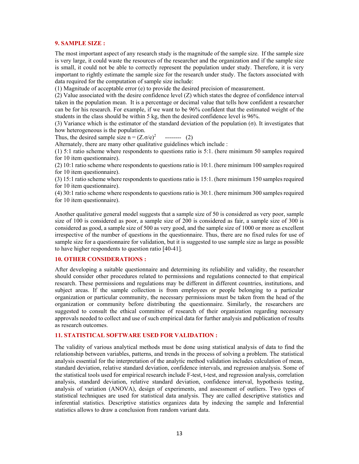#### **9. SAMPLE SIZE :**

The most important aspect of any research study is the magnitude of the sample size. If the sample size is very large, it could waste the resources of the researcher and the organization and if the sample size is small, it could not be able to correctly represent the population under study. Therefore, it is very important to rightly estimate the sample size for the research under study. The factors associated with data required for the computation of sample size include:

(1) Magnitude of acceptable error (e) to provide the desired precision of measurement.

(2) Value associated with the desire confidence level (Z) which states the degree of confidence interval taken in the population mean. It is a percentage or decimal value that tells how confident a researcher can be for his research. For example, if we want to be 96% confident that the estimated weight of the students in the class should be within 5 kg, then the desired confidence level is 96%.

(3) Variance which is the estimator of the standard deviation of the population (σ). It investigates that how heterogeneous is the population.

Thus, the desired sample size n =  $(Z.\sigma/e)^2$ -------- (2)

Alternately, there are many other qualitative guidelines which include :

(1) 5:1 ratio scheme where respondents to questions ratio is 5:1. (here minimum 50 samples required for 10 item questionnaire).

(2) 10:1 ratio scheme where respondents to questions ratio is 10:1. (here minimum 100 samples required for 10 item questionnaire).

(3) 15:1 ratio scheme where respondents to questions ratio is 15:1. (here minimum 150 samples required for 10 item questionnaire).

(4) 30:1 ratio scheme where respondents to questions ratio is 30:1. (here minimum 300 samples required for 10 item questionnaire).

Another qualitative general model suggests that a sample size of 50 is considered as very poor, sample size of 100 is considered as poor, a sample size of 200 is considered as fair, a sample size of 300 is considered as good, a sample size of 500 as very good, and the sample size of 1000 or more as excellent irrespective of the number of questions in the questionnaire. Thus, there are no fixed rules for use of sample size for a questionnaire for validation, but it is suggested to use sample size as large as possible to have higher respondents to question ratio [40-41].

# **10. OTHER CONSIDERATIONS :**

After developing a suitable questionnaire and determining its reliability and validity, the researcher should consider other procedures related to permissions and regulations connected to that empirical research. These permissions and regulations may be different in different countries, institutions, and subject areas. If the sample collection is from employees or people belonging to a particular organization or particular community, the necessary permissions must be taken from the head of the organization or community before distributing the questionnaire. Similarly, the researchers are suggested to consult the ethical committee of research of their organization regarding necessary approvals needed to collect and use of such empirical data for further analysis and publication of results as research outcomes.

# **11. STATISTICAL SOFTWARE USED FOR VALIDATION :**

The validity of various analytical methods must be done using statistical analysis of data to find the relationship between variables, patterns, and trends in the process of solving a problem. The statistical analysis essential for the interpretation of the analytic method validation includes calculation of mean, standard deviation, relative standard deviation, confidence intervals, and regression analysis. Some of the statistical tools used for empirical research include F-test, t-test, and regression analysis, correlation analysis, standard deviation, relative standard deviation, confidence interval, hypothesis testing, analysis of variation (ANOVA), design of experiments, and assessment of outliers. Two types of statistical techniques are used for statistical data analysis. They are called descriptive statistics and inferential statistics. Descriptive statistics organizes data by indexing the sample and Inferential statistics allows to draw a conclusion from random variant data.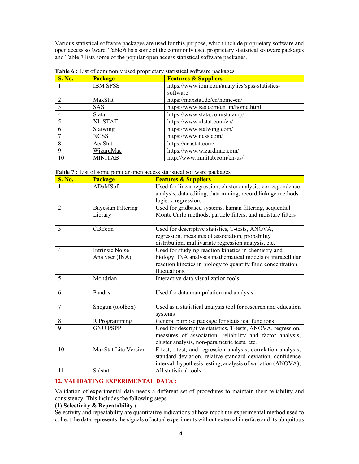Various statistical software packages are used for this purpose, which include proprietary software and open access software. Table 6 lists some of the commonly used proprietary statistical software packages and Table 7 lists some of the popular open access statistical software packages.

| <b>S. No.</b> | <b>Package</b>  | <b>Features &amp; Suppliers</b>                |
|---------------|-----------------|------------------------------------------------|
|               | <b>IBM SPSS</b> | https://www.ibm.com/analytics/spss-statistics- |
|               |                 | software                                       |
|               | MaxStat         | https://maxstat.de/en/home-en/                 |
|               | <b>SAS</b>      | https://www.sas.com/en in/home.html            |
|               | Stata           | https://www.stata.com/statamp/                 |
|               | <b>XL STAT</b>  | https://www.xlstat.com/en/                     |
|               | Statwing        | https://www.statwing.com/                      |
|               | <b>NCSS</b>     | https://www.ncss.com/                          |
|               | AcaStat         | https://acastat.com/                           |
| $\mathbf Q$   | WizardMac       | https://www.wizardmac.com/                     |
| 10            | <b>MINITAB</b>  | http://www.minitab.com/en-us/                  |

**Table 6 :** List of commonly used proprietary statistical software packages

|  |  |  |  |  |  | Table 7 : List of some popular open access statistical software packages |  |  |
|--|--|--|--|--|--|--------------------------------------------------------------------------|--|--|
|--|--|--|--|--|--|--------------------------------------------------------------------------|--|--|

| <b>S. No.</b>  | <b>Package</b>              | <b>Features &amp; Suppliers</b>                                                                                             |
|----------------|-----------------------------|-----------------------------------------------------------------------------------------------------------------------------|
|                | ADaMSoft                    | Used for linear regression, cluster analysis, correspondence<br>analysis, data editing, data mining, record linkage methods |
|                |                             | logistic regression,                                                                                                        |
| $\overline{2}$ | <b>Bayesian Filtering</b>   | Used for gridbased systems, kaman filtering, sequential                                                                     |
|                | Library                     | Monte Carlo methods, particle filters, and moisture filters                                                                 |
| 3              | CBEcon                      | Used for descriptive statistics, T-tests, ANOVA,                                                                            |
|                |                             | regression, measures of association, probability                                                                            |
|                |                             | distribution, multivariate regression analysis, etc.                                                                        |
| 4              | <b>Intrinsic Noise</b>      | Used for studying reaction kinetics in chemistry and                                                                        |
|                | Analyser (INA)              | biology. INA analyses mathematical models of intracellular                                                                  |
|                |                             | reaction kinetics in biology to quantify fluid concentration                                                                |
|                |                             | fluctuations.                                                                                                               |
| 5              | Mondrian                    | Interactive data visualization tools.                                                                                       |
| 6              | Pandas                      | Used for data manipulation and analysis                                                                                     |
| $\overline{7}$ | Shogun (toolbox)            | Used as a statistical analysis tool for research and education                                                              |
|                |                             | systems                                                                                                                     |
| 8              | R Programming               | General purpose package for statistical functions                                                                           |
| 9              | <b>GNU PSPP</b>             | Used for descriptive statistics, T-tests, ANOVA, regression,                                                                |
|                |                             | measures of association, reliability and factor analysis,                                                                   |
|                |                             | cluster analysis, non-parametric tests, etc.                                                                                |
| 10             | <b>MaxStat Lite Version</b> | F-test, t-test, and regression analysis, correlation analysis,                                                              |
|                |                             | standard deviation, relative standard deviation, confidence                                                                 |
|                |                             | interval, hypothesis testing, analysis of variation (ANOVA),                                                                |
| 11             | Salstat                     | All statistical tools                                                                                                       |

# **12. VALIDATING EXPERIMENTAL DATA :**

Validation of experimental data needs a different set of procedures to maintain their reliability and consistency. This includes the following steps.

### **(1) Selectivity & Repeatability :**

Selectivity and repeatability are quantitative indications of how much the experimental method used to collect the data represents the signals of actual experiments without external interface and its ubiquitous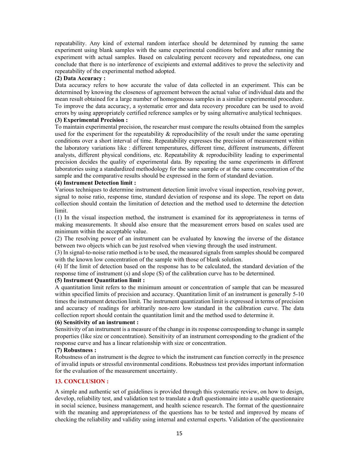repeatability. Any kind of external random interface should be determined by running the same experiment using blank samples with the same experimental conditions before and after running the experiment with actual samples. Based on calculating percent recovery and repeatedness, one can conclude that there is no interference of excipients and external additives to prove the selectivity and repeatability of the experimental method adopted.

### **(2) Data Accuracy :**

Data accuracy refers to how accurate the value of data collected in an experiment. This can be determined by knowing the closeness of agreement between the actual value of individual data and the mean result obtained for a large number of homogeneous samples in a similar experimental procedure. To improve the data accuracy, a systematic error and data recovery procedure can be used to avoid errors by using appropriately certified reference samples or by using alternative analytical techniques.

# **(3) Experimental Precision :**

To maintain experimental precision, the researcher must compare the results obtained from the samples used for the experiment for the repeatability  $\&$  reproducibility of the result under the same operating conditions over a short interval of time. Repeatability expresses the precision of measurement within the laboratory variations like : different temperatures, different time, different instruments, different analysts, different physical conditions, etc. Repeatability  $\&$  reproducibility leading to experimental precision decides the quality of experimental data. By repeating the same experiments in different laboratories using a standardized methodology for the same sample or at the same concentration of the sample and the comparative results should be expressed in the form of standard deviation.

#### **(4) Instrument Detection limit :**

Various techniques to determine instrument detection limit involve visual inspection, resolving power, signal to noise ratio, response time, standard deviation of response and its slope. The report on data collection should contain the limitation of detection and the method used to determine the detection limit.

(1) In the visual inspection method, the instrument is examined for its appropriateness in terms of making measurements. It should also ensure that the measurement errors based on scales used are minimum within the acceptable value.

(2) The resolving power of an instrument can be evaluated by knowing the inverse of the distance between two objects which can be just resolved when viewing through the used instrument.

(3) In signal-to-noise ratio method is to be used, the measured signals from samples should be compared with the known low concentration of the sample with those of blank solution.

(4) If the limit of detection based on the response has to be calculated, the standard deviation of the response time of instrument (s) and slope (S) of the calibration curve has to be determined.

#### **(5) Instrument Quantitation limit :**

A quantitation limit refers to the minimum amount or concentration of sample that can be measured within specified limits of precision and accuracy. Quantitation limit of an instrument is generally 5-10 times the instrument detection limit. The instrument quantization limit is expressed in terms of precision and accuracy of readings for arbitrarily non-zero low standard in the calibration curve. The data collection report should contain the quantitation limit and the method used to determine it.

# **(6) Sensitivity of an instrument :**

Sensitivity of an instrument is a measure of the change in its response corresponding to change in sample properties (like size or concentration). Sensitivity of an instrument corresponding to the gradient of the response curve and has a linear relationship with size or concentration.

#### **(7) Robustness :**

Robustness of an instrument is the degree to which the instrument can function correctly in the presence of invalid inputs or stressful environmental conditions. Robustness test provides important information for the evaluation of the measurement uncertainty.

# **13. CONCLUSION :**

A simple and authentic set of guidelines is provided through this systematic review, on how to design, develop, reliability test, and validation test to translate a draft questionnaire into a usable questionnaire in social science, business management, and health science research. The format of the questionnaire with the meaning and appropriateness of the questions has to be tested and improved by means of checking the reliability and validity using internal and external experts. Validation of the questionnaire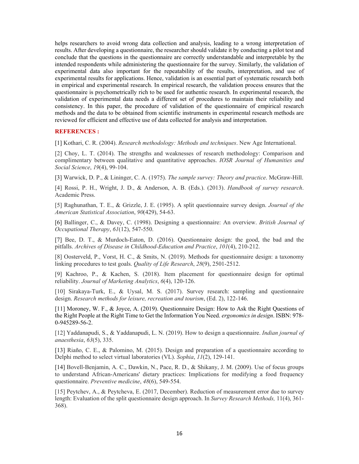helps researchers to avoid wrong data collection and analysis, leading to a wrong interpretation of results. After developing a questionnaire, the researcher should validate it by conducting a pilot test and conclude that the questions in the questionnaire are correctly understandable and interpretable by the intended respondents while administering the questionnaire for the survey. Similarly, the validation of experimental data also important for the repeatability of the results, interpretation, and use of experimental results for applications. Hence, validation is an essential part of systematic research both in empirical and experimental research. In empirical research, the validation process ensures that the questionnaire is psychometrically rich to be used for authentic research. In experimental research, the validation of experimental data needs a different set of procedures to maintain their reliability and consistency. In this paper, the procedure of validation of the questionnaire of empirical research methods and the data to be obtained from scientific instruments in experimental research methods are reviewed for efficient and effective use of data collected for analysis and interpretation.

#### **REFERENCES :**

[1] Kothari, C. R. (2004). *Research methodology: Methods and techniques*. New Age International.

[2] Choy, L. T. (2014). The strengths and weaknesses of research methodology: Comparison and complimentary between qualitative and quantitative approaches. *IOSR Journal of Humanities and Social Science*, *19*(4), 99-104.

[3] Warwick, D. P., & Lininger, C. A. (1975). *The sample survey: Theory and practice*. McGraw-Hill.

[4] Rossi, P. H., Wright, J. D., & Anderson, A. B. (Eds.). (2013). *Handbook of survey research*. Academic Press.

[5] Raghunathan, T. E., & Grizzle, J. E. (1995). A split questionnaire survey design. *Journal of the American Statistical Association*, *90*(429), 54-63.

[6] Ballinger, C., & Davey, C. (1998). Designing a questionnaire: An overview. *British Journal of Occupational Therapy*, *61*(12), 547-550.

[7] Bee, D. T., & Murdoch-Eaton, D. (2016). Questionnaire design: the good, the bad and the pitfalls. *Archives of Disease in Childhood-Education and Practice*, *101*(4), 210-212.

[8] Oosterveld, P., Vorst, H. C., & Smits, N. (2019). Methods for questionnaire design: a taxonomy linking procedures to test goals. *Quality of Life Research*, *28*(9), 2501-2512.

[9] Kachroo, P., & Kachen, S. (2018). Item placement for questionnaire design for optimal reliability. *Journal of Marketing Analytics*, *6*(4), 120-126.

[10] Sirakaya-Turk, E., & Uysal, M. S. (2017). Survey research: sampling and questionnaire design. *Research methods for leisure, recreation and tourism*, (Ed. 2), 122-146.

[11] Moroney, W. F., & Joyce, A. (2019). Questionnaire Design: How to Ask the Right Questions of the Right People at the Right Time to Get the Information You Need. *ergonomics in design*. ISBN: 978- 0-945289-56-2.

[12] Yaddanapudi, S., & Yaddanapudi, L. N. (2019). How to design a questionnaire. *Indian journal of anaesthesia*, *63*(5), 335.

[13] Riaño, C. E., & Palomino, M. (2015). Design and preparation of a questionnaire according to Delphi method to select virtual laboratories (VL). *Sophia*, *11*(2), 129-141.

[14] Bovell-Benjamin, A. C., Dawkin, N., Pace, R. D., & Shikany, J. M. (2009). Use of focus groups to understand African-Americans' dietary practices: Implications for modifying a food frequency questionnaire. *Preventive medicine*, *48*(6), 549-554.

[15] Peytchev, A., & Peytcheva, E. (2017, December). Reduction of measurement error due to survey length: Evaluation of the split questionnaire design approach. In *Survey Research Methods,* 11(4), 361- 368).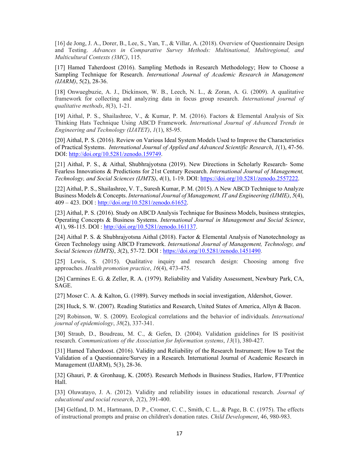[16] de Jong, J. A., Dorer, B., Lee, S., Yan, T., & Villar, A. (2018). Overview of Questionnaire Design and Testing. *Advances in Comparative Survey Methods: Multinational, Multiregional, and Multicultural Contexts (3MC)*, 115.

[17] Hamed Taherdoost (2016). Sampling Methods in Research Methodology; How to Choose a Sampling Technique for Research. *International Journal of Academic Research in Management (IJARM)*, 5(2), 28-36.

[18] Onwuegbuzie, A. J., Dickinson, W. B., Leech, N. L., & Zoran, A. G. (2009). A qualitative framework for collecting and analyzing data in focus group research. *International journal of qualitative methods*, *8*(3), 1-21.

[19] Aithal, P. S., Shailashree, V., & Kumar, P. M. (2016). Factors & Elemental Analysis of Six Thinking Hats Technique Using ABCD Framework. *International Journal of Advanced Trends in Engineering and Technology (IJATET)*, *1*(1), 85-95.

[20] Aithal, P. S. (2016). Review on Various Ideal System Models Used to Improve the Characteristics of Practical Systems. *International Journal of Applied and Advanced Scientific Research*, *1*(1), 47-56. DOI: http://doi.org/10.5281/zenodo.159749.

[21] Aithal, P. S., & Aithal, Shubhrajyotsna (2019). New Directions in Scholarly Research- Some Fearless Innovations & Predictions for 21st Century Research. *International Journal of Management, Technology, and Social Sciences (IJMTS)*, *4*(1), 1-19. DOI: https://doi.org/10.5281/zenodo.2557222.

[22] Aithal, P. S., Shailashree, V. T., Suresh Kumar, P. M. (2015). A New ABCD Technique to Analyze Business Models & Concepts. *International Journal of Management, IT and Engineering (IJMIE)*, *5*(4), 409 – 423. DOI : http://doi.org/10.5281/zenodo.61652.

[23] Aithal, P. S. (2016). Study on ABCD Analysis Technique for Business Models, business strategies, Operating Concepts & Business Systems. *International Journal in Management and Social Science*, *4*(1), 98-115. DOI : http://doi.org/10.5281/zenodo.161137.

[24] Aithal P. S. & Shubhrajyotsna Aithal (2018). Factor & Elemental Analysis of Nanotechnology as Green Technology using ABCD Framework. *International Journal of Management, Technology, and Social Sciences (IJMTS)*, *3*(2), 57-72. DOI : https://doi.org/10.5281/zenodo.1451490.

[25] Lewis, S. (2015). Qualitative inquiry and research design: Choosing among five approaches. *Health promotion practice*, *16*(4), 473-475.

[26] Carmines E. G. & Zeller, R. A. (1979). Reliability and Validity Assessment, Newbury Park, CA, SAGE.

[27] Moser C. A. & Kalton, G. (1989). Survey methods in social investigation, Aldershot, Gower.

[28] Huck, S. W. (2007). Reading Statistics and Research, United States of America, Allyn & Bacon.

[29] Robinson, W. S. (2009). Ecological correlations and the behavior of individuals. *International journal of epidemiology*, *38*(2), 337-341.

[30] Straub, D., Boudreau, M. C., & Gefen, D. (2004). Validation guidelines for IS positivist research. *Communications of the Association for Information systems*, *13*(1), 380-427.

[31] Hamed Taherdoost. (2016). Validity and Reliability of the Research Instrument; How to Test the Validation of a Questionnaire/Survey in a Research. International Journal of Academic Research in Management (IJARM), 5(3), 28-36.

[32] Ghauri, P. & Gronhaug, K. (2005). Research Methods in Business Studies, Harlow, FT/Prentice Hall.

[33] Oluwatayo, J. A. (2012). Validity and reliability issues in educational research. *Journal of educational and social research*, *2*(2), 391-400.

[34] Gelfand, D. M., Hartmann, D. P., Cromer, C. C., Smith, C. L., & Page, B. C. (1975). The effects of instructional prompts and praise on children's donation rates. *Child Development*, 46, 980-983.